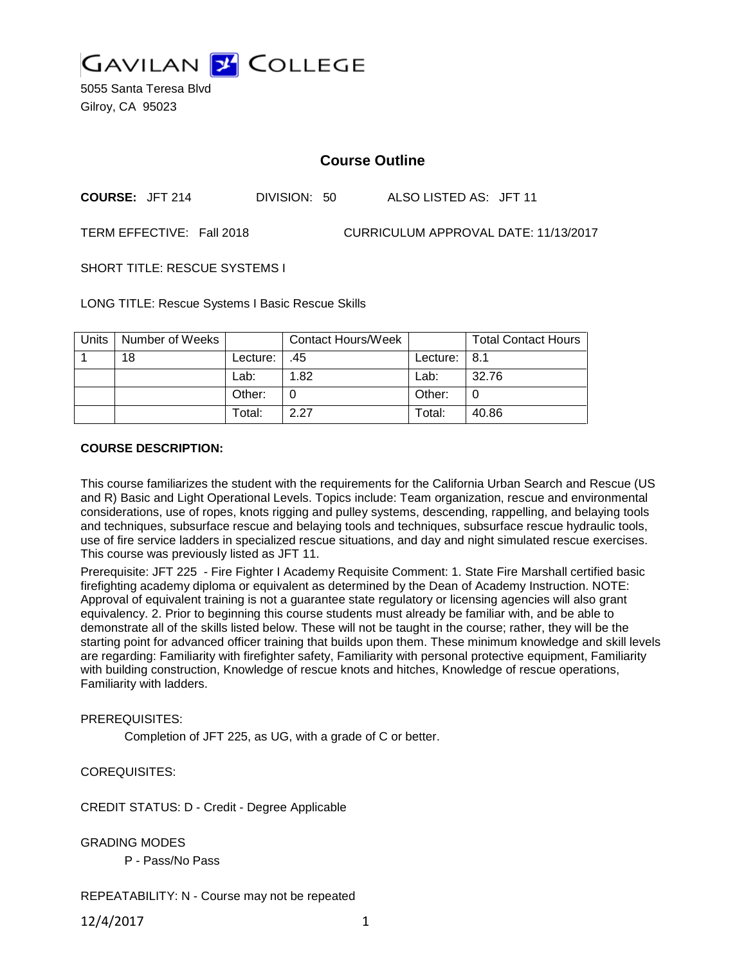

5055 Santa Teresa Blvd Gilroy, CA 95023

# **Course Outline**

**COURSE:** JFT 214 DIVISION: 50 ALSO LISTED AS: JFT 11

TERM EFFECTIVE: Fall 2018 CURRICULUM APPROVAL DATE: 11/13/2017

SHORT TITLE: RESCUE SYSTEMS I

LONG TITLE: Rescue Systems I Basic Rescue Skills

| <b>Units</b> | Number of Weeks |          | <b>Contact Hours/Week</b> |                  | <b>Total Contact Hours</b> |
|--------------|-----------------|----------|---------------------------|------------------|----------------------------|
|              | 18              | Lecture: | .45                       | Lecture: $  8.1$ |                            |
|              |                 | Lab:     | 1.82                      | Lab:             | 32.76                      |
|              |                 | Other:   |                           | Other:           |                            |
|              |                 | Total:   | 2.27                      | Total:           | 40.86                      |

#### **COURSE DESCRIPTION:**

This course familiarizes the student with the requirements for the California Urban Search and Rescue (US and R) Basic and Light Operational Levels. Topics include: Team organization, rescue and environmental considerations, use of ropes, knots rigging and pulley systems, descending, rappelling, and belaying tools and techniques, subsurface rescue and belaying tools and techniques, subsurface rescue hydraulic tools, use of fire service ladders in specialized rescue situations, and day and night simulated rescue exercises. This course was previously listed as JFT 11.

Prerequisite: JFT 225 - Fire Fighter I Academy Requisite Comment: 1. State Fire Marshall certified basic firefighting academy diploma or equivalent as determined by the Dean of Academy Instruction. NOTE: Approval of equivalent training is not a guarantee state regulatory or licensing agencies will also grant equivalency. 2. Prior to beginning this course students must already be familiar with, and be able to demonstrate all of the skills listed below. These will not be taught in the course; rather, they will be the starting point for advanced officer training that builds upon them. These minimum knowledge and skill levels are regarding: Familiarity with firefighter safety, Familiarity with personal protective equipment, Familiarity with building construction, Knowledge of rescue knots and hitches, Knowledge of rescue operations, Familiarity with ladders.

#### PREREQUISITES:

Completion of JFT 225, as UG, with a grade of C or better.

COREQUISITES:

CREDIT STATUS: D - Credit - Degree Applicable

GRADING MODES

P - Pass/No Pass

# REPEATABILITY: N - Course may not be repeated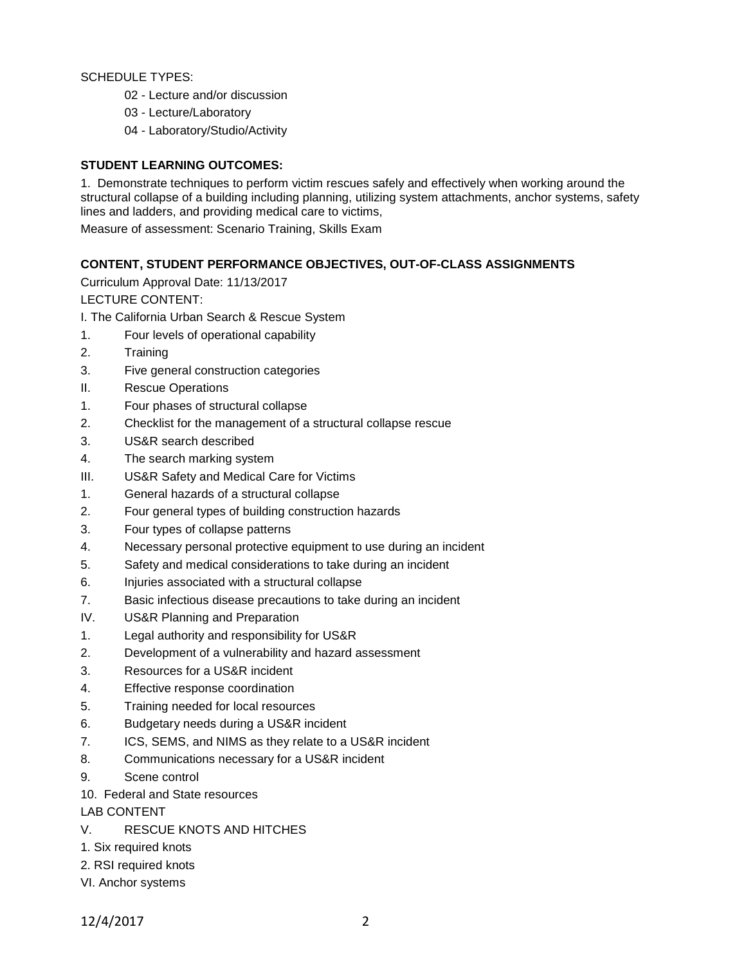# SCHEDULE TYPES:

- 02 Lecture and/or discussion
- 03 Lecture/Laboratory
- 04 Laboratory/Studio/Activity

# **STUDENT LEARNING OUTCOMES:**

1. Demonstrate techniques to perform victim rescues safely and effectively when working around the structural collapse of a building including planning, utilizing system attachments, anchor systems, safety lines and ladders, and providing medical care to victims,

Measure of assessment: Scenario Training, Skills Exam

# **CONTENT, STUDENT PERFORMANCE OBJECTIVES, OUT-OF-CLASS ASSIGNMENTS**

Curriculum Approval Date: 11/13/2017

LECTURE CONTENT:

- I. The California Urban Search & Rescue System
- 1. Four levels of operational capability
- 2. Training
- 3. Five general construction categories
- II. Rescue Operations
- 1. Four phases of structural collapse
- 2. Checklist for the management of a structural collapse rescue
- 3. US&R search described
- 4. The search marking system
- III. US&R Safety and Medical Care for Victims
- 1. General hazards of a structural collapse
- 2. Four general types of building construction hazards
- 3. Four types of collapse patterns
- 4. Necessary personal protective equipment to use during an incident
- 5. Safety and medical considerations to take during an incident
- 6. Injuries associated with a structural collapse
- 7. Basic infectious disease precautions to take during an incident
- IV. US&R Planning and Preparation
- 1. Legal authority and responsibility for US&R
- 2. Development of a vulnerability and hazard assessment
- 3. Resources for a US&R incident
- 4. Effective response coordination
- 5. Training needed for local resources
- 6. Budgetary needs during a US&R incident
- 7. ICS, SEMS, and NIMS as they relate to a US&R incident
- 8. Communications necessary for a US&R incident
- 9. Scene control
- 10. Federal and State resources

LAB CONTENT

- V. RESCUE KNOTS AND HITCHES
- 1. Six required knots
- 2. RSI required knots
- VI. Anchor systems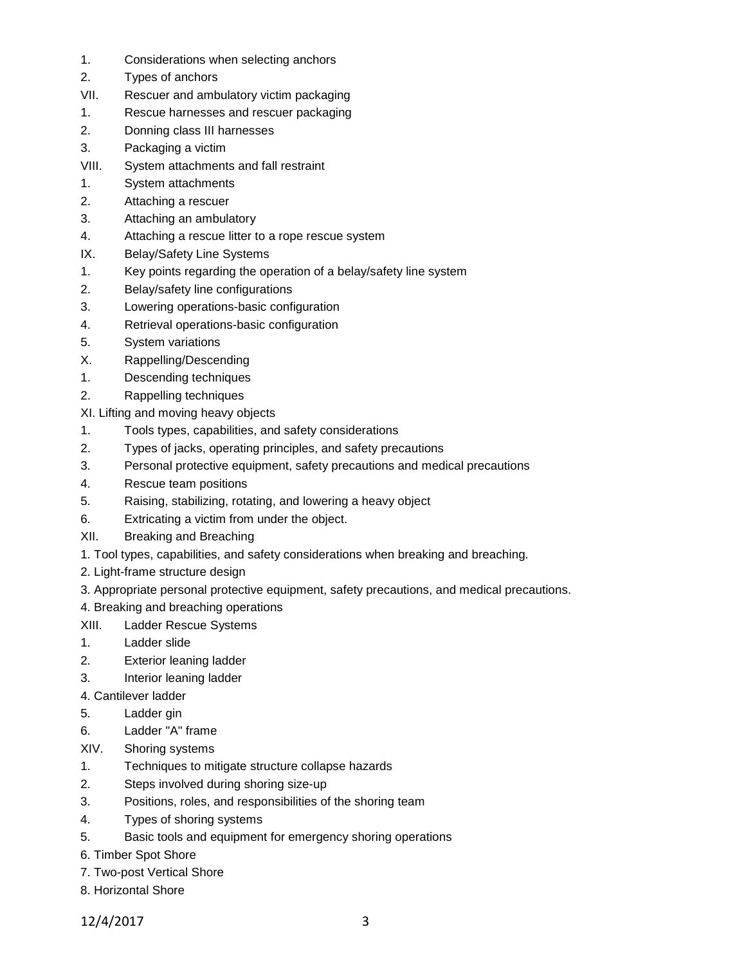- 1. Considerations when selecting anchors
- 2. Types of anchors
- VII. Rescuer and ambulatory victim packaging
- 1. Rescue harnesses and rescuer packaging
- 2. Donning class III harnesses
- 3. Packaging a victim
- VIII. System attachments and fall restraint
- 1. System attachments
- 2. Attaching a rescuer
- 3. Attaching an ambulatory
- 4. Attaching a rescue litter to a rope rescue system
- IX. Belay/Safety Line Systems
- 1. Key points regarding the operation of a belay/safety line system
- 2. Belay/safety line configurations
- 3. Lowering operations-basic configuration
- 4. Retrieval operations-basic configuration
- 5. System variations
- X. Rappelling/Descending
- 1. Descending techniques
- 2. Rappelling techniques
- XI. Lifting and moving heavy objects
- 1. Tools types, capabilities, and safety considerations
- 2. Types of jacks, operating principles, and safety precautions
- 3. Personal protective equipment, safety precautions and medical precautions
- 4. Rescue team positions
- 5. Raising, stabilizing, rotating, and lowering a heavy object
- 6. Extricating a victim from under the object.
- XII. Breaking and Breaching
- 1. Tool types, capabilities, and safety considerations when breaking and breaching.
- 2. Light-frame structure design
- 3. Appropriate personal protective equipment, safety precautions, and medical precautions.
- 4. Breaking and breaching operations
- XIII. Ladder Rescue Systems
- 1. Ladder slide
- 2. Exterior leaning ladder
- 3. Interior leaning ladder
- 4. Cantilever ladder
- 5. Ladder gin
- 6. Ladder "A" frame
- XIV. Shoring systems
- 1. Techniques to mitigate structure collapse hazards
- 2. Steps involved during shoring size-up
- 3. Positions, roles, and responsibilities of the shoring team
- 4. Types of shoring systems
- 5. Basic tools and equipment for emergency shoring operations
- 6. Timber Spot Shore
- 7. Two-post Vertical Shore
- 8. Horizontal Shore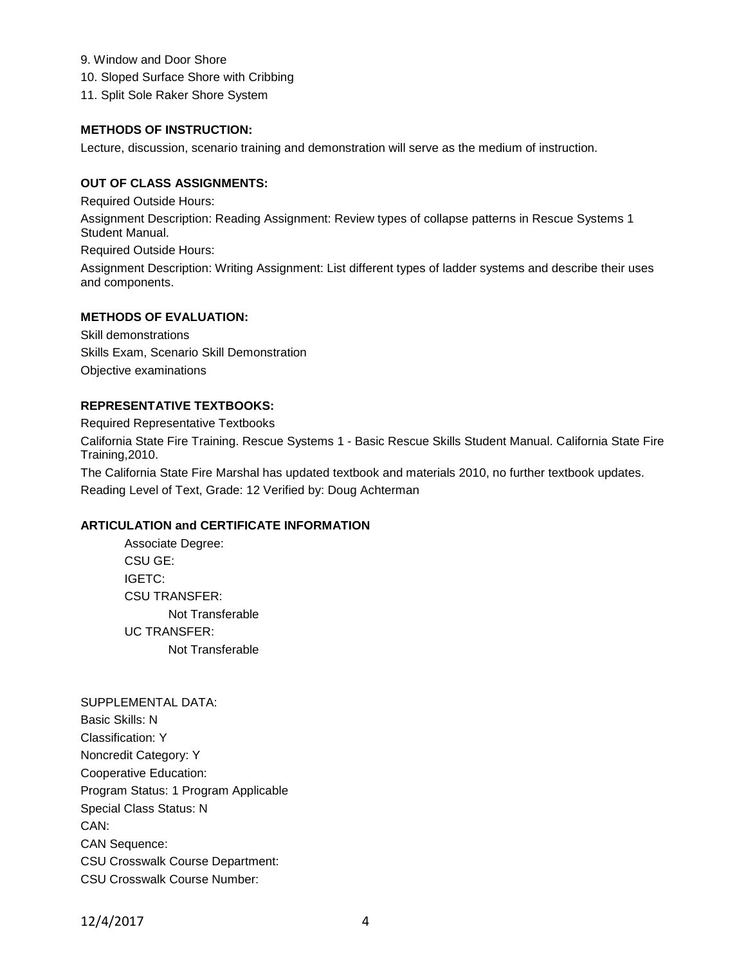- 9. Window and Door Shore
- 10. Sloped Surface Shore with Cribbing
- 11. Split Sole Raker Shore System

### **METHODS OF INSTRUCTION:**

Lecture, discussion, scenario training and demonstration will serve as the medium of instruction.

#### **OUT OF CLASS ASSIGNMENTS:**

Required Outside Hours:

Assignment Description: Reading Assignment: Review types of collapse patterns in Rescue Systems 1 Student Manual.

Required Outside Hours: Assignment Description: Writing Assignment: List different types of ladder systems and describe their uses and components.

# **METHODS OF EVALUATION:**

Skill demonstrations Skills Exam, Scenario Skill Demonstration Objective examinations

# **REPRESENTATIVE TEXTBOOKS:**

Required Representative Textbooks California State Fire Training. Rescue Systems 1 - Basic Rescue Skills Student Manual. California State Fire Training,2010. The California State Fire Marshal has updated textbook and materials 2010, no further textbook updates. Reading Level of Text, Grade: 12 Verified by: Doug Achterman

# **ARTICULATION and CERTIFICATE INFORMATION**

Associate Degree: CSU GE: IGETC: CSU TRANSFER: Not Transferable UC TRANSFER: Not Transferable

SUPPLEMENTAL DATA: Basic Skills: N Classification: Y Noncredit Category: Y Cooperative Education: Program Status: 1 Program Applicable Special Class Status: N CAN: CAN Sequence: CSU Crosswalk Course Department: CSU Crosswalk Course Number: